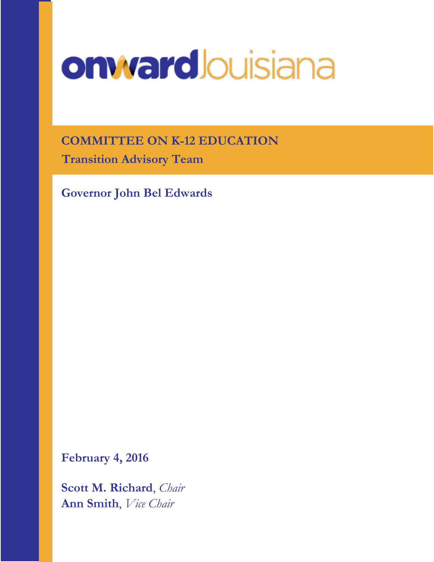# onward Jouisiana

**COMMITTEE ON K-12 EDUCATION Transition Advisory Team**

**Governor John Bel Edwards**

**February 4, 2016**

**Scott M. Richard**, *Chair* **Ann Smith**, *Vice Chair*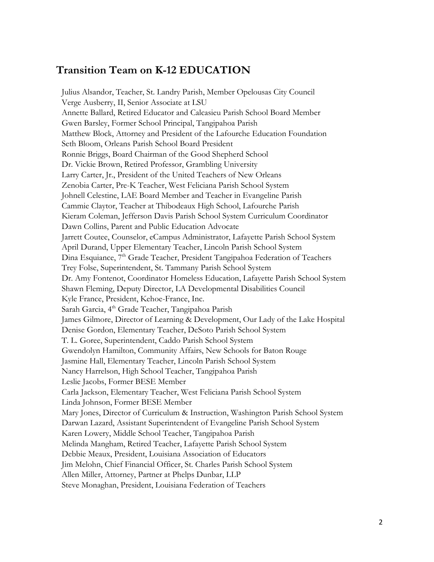## **Transition Team on K-12 EDUCATION**

Julius Alsandor, Teacher, St. Landry Parish, Member Opelousas City Council Verge Ausberry, II, Senior Associate at LSU Annette Ballard, Retired Educator and Calcasieu Parish School Board Member Gwen Barsley, Former School Principal, Tangipahoa Parish Matthew Block, Attorney and President of the Lafourche Education Foundation Seth Bloom, Orleans Parish School Board President Ronnie Briggs, Board Chairman of the Good Shepherd School Dr. Vickie Brown, Retired Professor, Grambling University Larry Carter, Jr., President of the United Teachers of New Orleans Zenobia Carter, Pre-K Teacher, West Feliciana Parish School System Johnell Celestine, LAE Board Member and Teacher in Evangeline Parish Cammie Claytor, Teacher at Thibodeaux High School, Lafourche Parish Kieram Coleman, Jefferson Davis Parish School System Curriculum Coordinator Dawn Collins, Parent and Public Education Advocate Jarrett Coutee, Counselor, eCampus Administrator, Lafayette Parish School System April Durand, Upper Elementary Teacher, Lincoln Parish School System Dina Esquiance, 7<sup>th</sup> Grade Teacher, President Tangipahoa Federation of Teachers Trey Folse, Superintendent, St. Tammany Parish School System Dr. Amy Fontenot, Coordinator Homeless Education, Lafayette Parish School System Shawn Fleming, Deputy Director, LA Developmental Disabilities Council Kyle France, President, Kehoe-France, Inc. Sarah Garcia, 4<sup>th</sup> Grade Teacher, Tangipahoa Parish James Gilmore, Director of Learning & Development, Our Lady of the Lake Hospital Denise Gordon, Elementary Teacher, DeSoto Parish School System T. L. Goree, Superintendent, Caddo Parish School System Gwendolyn Hamilton, Community Affairs, New Schools for Baton Rouge Jasmine Hall, Elementary Teacher, Lincoln Parish School System Nancy Harrelson, High School Teacher, Tangipahoa Parish Leslie Jacobs, Former BESE Member Carla Jackson, Elementary Teacher, West Feliciana Parish School System Linda Johnson, Former BESE Member Mary Jones, Director of Curriculum & Instruction, Washington Parish School System Darwan Lazard, Assistant Superintendent of Evangeline Parish School System Karen Lowery, Middle School Teacher, Tangipahoa Parish Melinda Mangham, Retired Teacher, Lafayette Parish School System Debbie Meaux, President, Louisiana Association of Educators Jim Melohn, Chief Financial Officer, St. Charles Parish School System Allen Miller, Attorney, Partner at Phelps Dunbar, LLP Steve Monaghan, President, Louisiana Federation of Teachers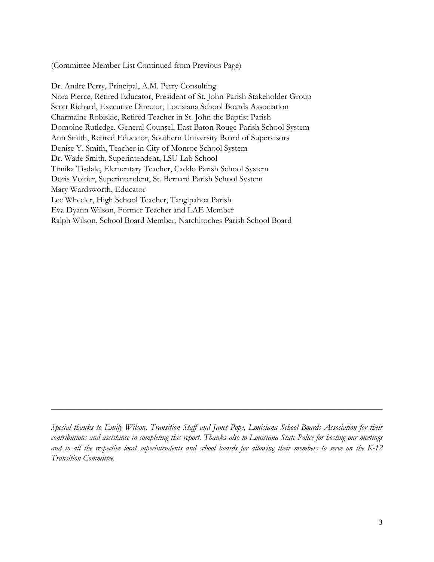(Committee Member List Continued from Previous Page)

Dr. Andre Perry, Principal, A.M. Perry Consulting Nora Pierce, Retired Educator, President of St. John Parish Stakeholder Group Scott Richard, Executive Director, Louisiana School Boards Association Charmaine Robiskie, Retired Teacher in St. John the Baptist Parish Domoine Rutledge, General Counsel, East Baton Rouge Parish School System Ann Smith, Retired Educator, Southern University Board of Supervisors Denise Y. Smith, Teacher in City of Monroe School System Dr. Wade Smith, Superintendent, LSU Lab School Timika Tisdale, Elementary Teacher, Caddo Parish School System Doris Voitier, Superintendent, St. Bernard Parish School System Mary Wardsworth, Educator Lee Wheeler, High School Teacher, Tangipahoa Parish Eva Dyann Wilson, Former Teacher and LAE Member Ralph Wilson, School Board Member, Natchitoches Parish School Board

\_\_\_\_\_\_\_\_\_\_\_\_\_\_\_\_\_\_\_\_\_\_\_\_\_\_\_\_\_\_\_\_\_\_\_\_\_\_\_\_\_\_\_\_\_\_\_\_\_\_\_\_\_\_\_\_\_\_\_\_\_\_\_\_\_\_\_\_\_\_\_\_\_\_\_\_\_\_

*Special thanks to Emily Wilson, Transition Staff and Janet Pope, Louisiana School Boards Association for their contributions and assistance in completing this report. Thanks also to Louisiana State Police for hosting our meetings and to all the respective local superintendents and school boards for allowing their members to serve on the K-12 Transition Committee.*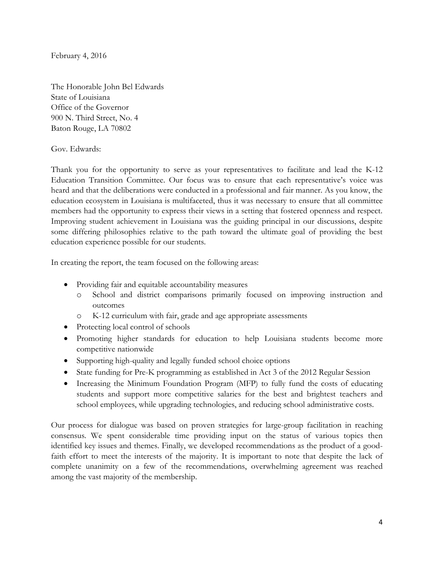February 4, 2016

The Honorable John Bel Edwards State of Louisiana Office of the Governor 900 N. Third Street, No. 4 Baton Rouge, LA 70802

Gov. Edwards:

Thank you for the opportunity to serve as your representatives to facilitate and lead the K-12 Education Transition Committee. Our focus was to ensure that each representative's voice was heard and that the deliberations were conducted in a professional and fair manner. As you know, the education ecosystem in Louisiana is multifaceted, thus it was necessary to ensure that all committee members had the opportunity to express their views in a setting that fostered openness and respect. Improving student achievement in Louisiana was the guiding principal in our discussions, despite some differing philosophies relative to the path toward the ultimate goal of providing the best education experience possible for our students.

In creating the report, the team focused on the following areas:

- Providing fair and equitable accountability measures
	- o School and district comparisons primarily focused on improving instruction and outcomes
	- o K-12 curriculum with fair, grade and age appropriate assessments
- Protecting local control of schools
- Promoting higher standards for education to help Louisiana students become more competitive nationwide
- Supporting high-quality and legally funded school choice options
- State funding for Pre-K programming as established in Act 3 of the 2012 Regular Session
- Increasing the Minimum Foundation Program (MFP) to fully fund the costs of educating students and support more competitive salaries for the best and brightest teachers and school employees, while upgrading technologies, and reducing school administrative costs.

Our process for dialogue was based on proven strategies for large-group facilitation in reaching consensus. We spent considerable time providing input on the status of various topics then identified key issues and themes. Finally, we developed recommendations as the product of a goodfaith effort to meet the interests of the majority. It is important to note that despite the lack of complete unanimity on a few of the recommendations, overwhelming agreement was reached among the vast majority of the membership.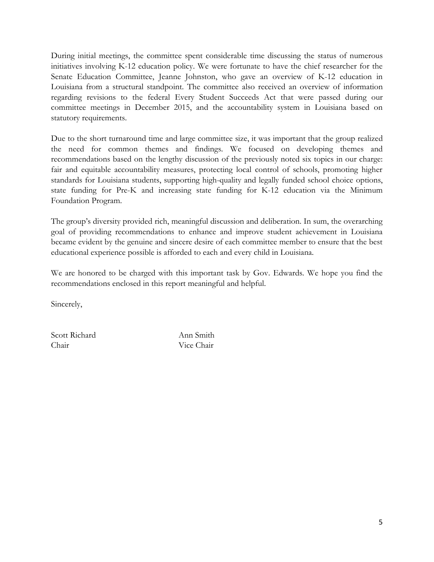During initial meetings, the committee spent considerable time discussing the status of numerous initiatives involving K-12 education policy. We were fortunate to have the chief researcher for the Senate Education Committee, Jeanne Johnston, who gave an overview of K-12 education in Louisiana from a structural standpoint. The committee also received an overview of information regarding revisions to the federal Every Student Succeeds Act that were passed during our committee meetings in December 2015, and the accountability system in Louisiana based on statutory requirements.

Due to the short turnaround time and large committee size, it was important that the group realized the need for common themes and findings. We focused on developing themes and recommendations based on the lengthy discussion of the previously noted six topics in our charge: fair and equitable accountability measures, protecting local control of schools, promoting higher standards for Louisiana students, supporting high-quality and legally funded school choice options, state funding for Pre-K and increasing state funding for K-12 education via the Minimum Foundation Program.

The group's diversity provided rich, meaningful discussion and deliberation. In sum, the overarching goal of providing recommendations to enhance and improve student achievement in Louisiana became evident by the genuine and sincere desire of each committee member to ensure that the best educational experience possible is afforded to each and every child in Louisiana.

We are honored to be charged with this important task by Gov. Edwards. We hope you find the recommendations enclosed in this report meaningful and helpful.

Sincerely,

Scott Richard Ann Smith Chair Vice Chair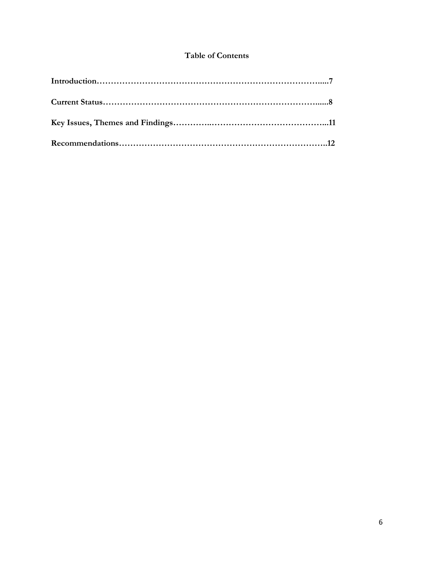#### **Table of Contents**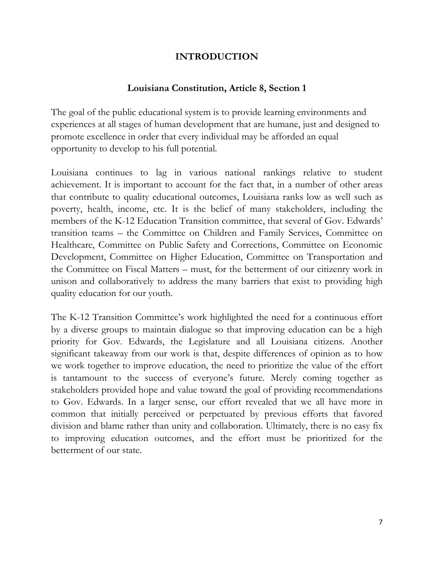## **INTRODUCTION**

## **Louisiana Constitution, Article 8, Section 1**

The goal of the public educational system is to provide learning environments and experiences at all stages of human development that are humane, just and designed to promote excellence in order that every individual may be afforded an equal opportunity to develop to his full potential.

Louisiana continues to lag in various national rankings relative to student achievement. It is important to account for the fact that, in a number of other areas that contribute to quality educational outcomes, Louisiana ranks low as well such as poverty, health, income, etc. It is the belief of many stakeholders, including the members of the K-12 Education Transition committee, that several of Gov. Edwards' transition teams – the Committee on Children and Family Services, Committee on Healthcare, Committee on Public Safety and Corrections, Committee on Economic Development, Committee on Higher Education, Committee on Transportation and the Committee on Fiscal Matters – must, for the betterment of our citizenry work in unison and collaboratively to address the many barriers that exist to providing high quality education for our youth.

The K-12 Transition Committee's work highlighted the need for a continuous effort by a diverse groups to maintain dialogue so that improving education can be a high priority for Gov. Edwards, the Legislature and all Louisiana citizens. Another significant takeaway from our work is that, despite differences of opinion as to how we work together to improve education, the need to prioritize the value of the effort is tantamount to the success of everyone's future. Merely coming together as stakeholders provided hope and value toward the goal of providing recommendations to Gov. Edwards. In a larger sense, our effort revealed that we all have more in common that initially perceived or perpetuated by previous efforts that favored division and blame rather than unity and collaboration. Ultimately, there is no easy fix to improving education outcomes, and the effort must be prioritized for the betterment of our state.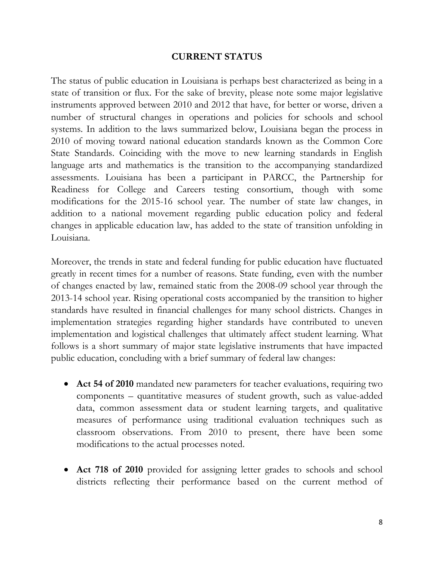#### **CURRENT STATUS**

The status of public education in Louisiana is perhaps best characterized as being in a state of transition or flux. For the sake of brevity, please note some major legislative instruments approved between 2010 and 2012 that have, for better or worse, driven a number of structural changes in operations and policies for schools and school systems. In addition to the laws summarized below, Louisiana began the process in 2010 of moving toward national education standards known as the Common Core State Standards. Coinciding with the move to new learning standards in English language arts and mathematics is the transition to the accompanying standardized assessments. Louisiana has been a participant in PARCC, the Partnership for Readiness for College and Careers testing consortium, though with some modifications for the 2015-16 school year. The number of state law changes, in addition to a national movement regarding public education policy and federal changes in applicable education law, has added to the state of transition unfolding in Louisiana.

Moreover, the trends in state and federal funding for public education have fluctuated greatly in recent times for a number of reasons. State funding, even with the number of changes enacted by law, remained static from the 2008-09 school year through the 2013-14 school year. Rising operational costs accompanied by the transition to higher standards have resulted in financial challenges for many school districts. Changes in implementation strategies regarding higher standards have contributed to uneven implementation and logistical challenges that ultimately affect student learning. What follows is a short summary of major state legislative instruments that have impacted public education, concluding with a brief summary of federal law changes:

- **Act 54 of 2010** mandated new parameters for teacher evaluations, requiring two components – quantitative measures of student growth, such as value-added data, common assessment data or student learning targets, and qualitative measures of performance using traditional evaluation techniques such as classroom observations. From 2010 to present, there have been some modifications to the actual processes noted.
- **Act 718 of 2010** provided for assigning letter grades to schools and school districts reflecting their performance based on the current method of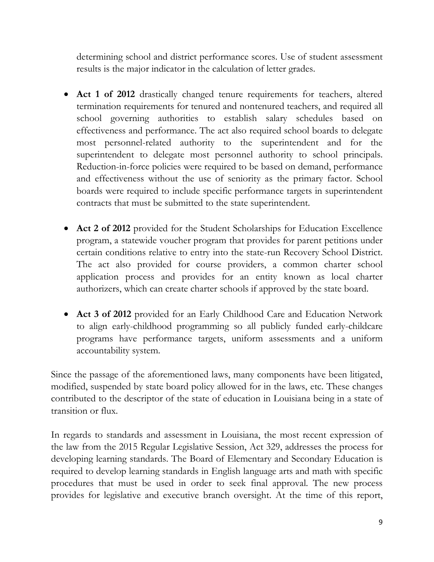determining school and district performance scores. Use of student assessment results is the major indicator in the calculation of letter grades.

- **Act 1 of 2012** drastically changed tenure requirements for teachers, altered termination requirements for tenured and nontenured teachers, and required all school governing authorities to establish salary schedules based on effectiveness and performance. The act also required school boards to delegate most personnel-related authority to the superintendent and for the superintendent to delegate most personnel authority to school principals. Reduction-in-force policies were required to be based on demand, performance and effectiveness without the use of seniority as the primary factor. School boards were required to include specific performance targets in superintendent contracts that must be submitted to the state superintendent.
- **Act 2 of 2012** provided for the Student Scholarships for Education Excellence program, a statewide voucher program that provides for parent petitions under certain conditions relative to entry into the state-run Recovery School District. The act also provided for course providers, a common charter school application process and provides for an entity known as local charter authorizers, which can create charter schools if approved by the state board.
- **Act 3 of 2012** provided for an Early Childhood Care and Education Network to align early-childhood programming so all publicly funded early-childcare programs have performance targets, uniform assessments and a uniform accountability system.

Since the passage of the aforementioned laws, many components have been litigated, modified, suspended by state board policy allowed for in the laws, etc. These changes contributed to the descriptor of the state of education in Louisiana being in a state of transition or flux.

In regards to standards and assessment in Louisiana, the most recent expression of the law from the 2015 Regular Legislative Session, Act 329, addresses the process for developing learning standards. The Board of Elementary and Secondary Education is required to develop learning standards in English language arts and math with specific procedures that must be used in order to seek final approval. The new process provides for legislative and executive branch oversight. At the time of this report,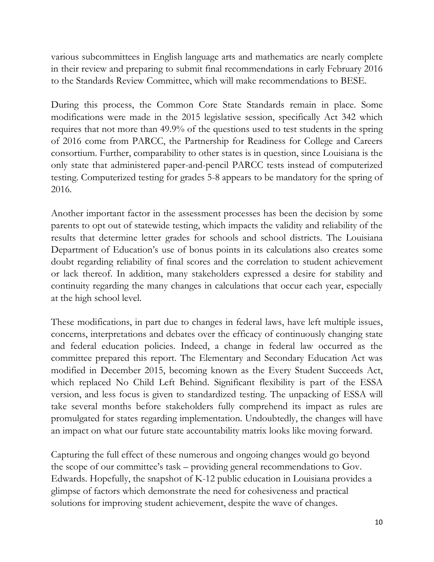various subcommittees in English language arts and mathematics are nearly complete in their review and preparing to submit final recommendations in early February 2016 to the Standards Review Committee, which will make recommendations to BESE.

During this process, the Common Core State Standards remain in place. Some modifications were made in the 2015 legislative session, specifically Act 342 which requires that not more than 49.9% of the questions used to test students in the spring of 2016 come from PARCC, the Partnership for Readiness for College and Careers consortium. Further, comparability to other states is in question, since Louisiana is the only state that administered paper-and-pencil PARCC tests instead of computerized testing. Computerized testing for grades 5-8 appears to be mandatory for the spring of 2016.

Another important factor in the assessment processes has been the decision by some parents to opt out of statewide testing, which impacts the validity and reliability of the results that determine letter grades for schools and school districts. The Louisiana Department of Education's use of bonus points in its calculations also creates some doubt regarding reliability of final scores and the correlation to student achievement or lack thereof. In addition, many stakeholders expressed a desire for stability and continuity regarding the many changes in calculations that occur each year, especially at the high school level.

These modifications, in part due to changes in federal laws, have left multiple issues, concerns, interpretations and debates over the efficacy of continuously changing state and federal education policies. Indeed, a change in federal law occurred as the committee prepared this report. The Elementary and Secondary Education Act was modified in December 2015, becoming known as the Every Student Succeeds Act, which replaced No Child Left Behind. Significant flexibility is part of the ESSA version, and less focus is given to standardized testing. The unpacking of ESSA will take several months before stakeholders fully comprehend its impact as rules are promulgated for states regarding implementation. Undoubtedly, the changes will have an impact on what our future state accountability matrix looks like moving forward.

Capturing the full effect of these numerous and ongoing changes would go beyond the scope of our committee's task – providing general recommendations to Gov. Edwards. Hopefully, the snapshot of K-12 public education in Louisiana provides a glimpse of factors which demonstrate the need for cohesiveness and practical solutions for improving student achievement, despite the wave of changes.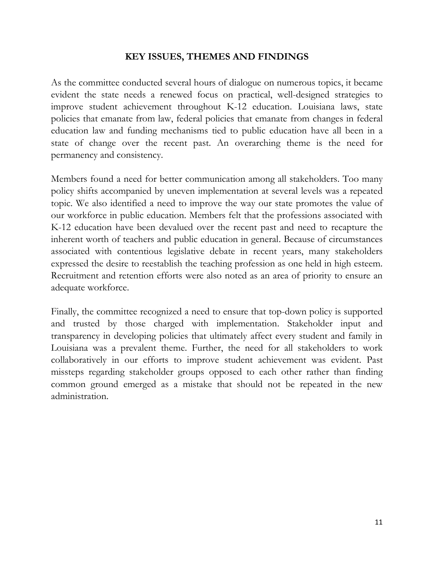#### **KEY ISSUES, THEMES AND FINDINGS**

As the committee conducted several hours of dialogue on numerous topics, it became evident the state needs a renewed focus on practical, well-designed strategies to improve student achievement throughout K-12 education. Louisiana laws, state policies that emanate from law, federal policies that emanate from changes in federal education law and funding mechanisms tied to public education have all been in a state of change over the recent past. An overarching theme is the need for permanency and consistency.

Members found a need for better communication among all stakeholders. Too many policy shifts accompanied by uneven implementation at several levels was a repeated topic. We also identified a need to improve the way our state promotes the value of our workforce in public education. Members felt that the professions associated with K-12 education have been devalued over the recent past and need to recapture the inherent worth of teachers and public education in general. Because of circumstances associated with contentious legislative debate in recent years, many stakeholders expressed the desire to reestablish the teaching profession as one held in high esteem. Recruitment and retention efforts were also noted as an area of priority to ensure an adequate workforce.

Finally, the committee recognized a need to ensure that top-down policy is supported and trusted by those charged with implementation. Stakeholder input and transparency in developing policies that ultimately affect every student and family in Louisiana was a prevalent theme. Further, the need for all stakeholders to work collaboratively in our efforts to improve student achievement was evident. Past missteps regarding stakeholder groups opposed to each other rather than finding common ground emerged as a mistake that should not be repeated in the new administration.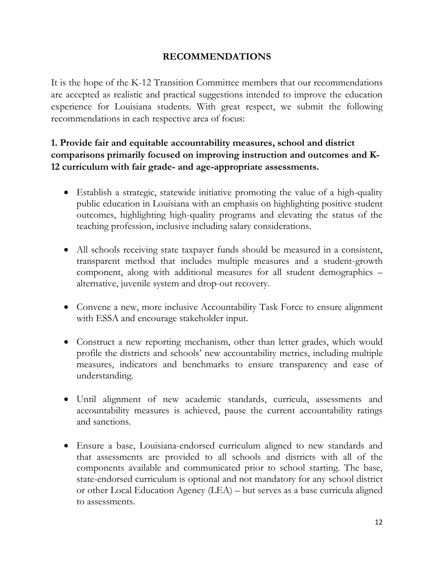### **RECOMMENDATIONS**

It is the hope of the K-12 Transition Committee members that our recommendations are accepted as realistic and practical suggestions intended to improve the education experience for Louisiana students. With great respect, we submit the following recommendations in each respective area of focus:

## **1. Provide fair and equitable accountability measures, school and district comparisons primarily focused on improving instruction and outcomes and K-12 curriculum with fair grade- and age-appropriate assessments.**

- Establish a strategic, statewide initiative promoting the value of a high-quality public education in Louisiana with an emphasis on highlighting positive student outcomes, highlighting high-quality programs and elevating the status of the teaching profession, inclusive including salary considerations.
- All schools receiving state taxpayer funds should be measured in a consistent, transparent method that includes multiple measures and a student-growth component, along with additional measures for all student demographics – alternative, juvenile system and drop-out recovery.
- Convene a new, more inclusive Accountability Task Force to ensure alignment with ESSA and encourage stakeholder input.
- Construct a new reporting mechanism, other than letter grades, which would profile the districts and schools' new accountability metrics, including multiple measures, indicators and benchmarks to ensure transparency and ease of understanding.
- Until alignment of new academic standards, curricula, assessments and accountability measures is achieved, pause the current accountability ratings and sanctions.
- Ensure a base, Louisiana-endorsed curriculum aligned to new standards and that assessments are provided to all schools and districts with all of the components available and communicated prior to school starting. The base, state-endorsed curriculum is optional and not mandatory for any school district or other Local Education Agency (LEA) – but serves as a base curricula aligned to assessments.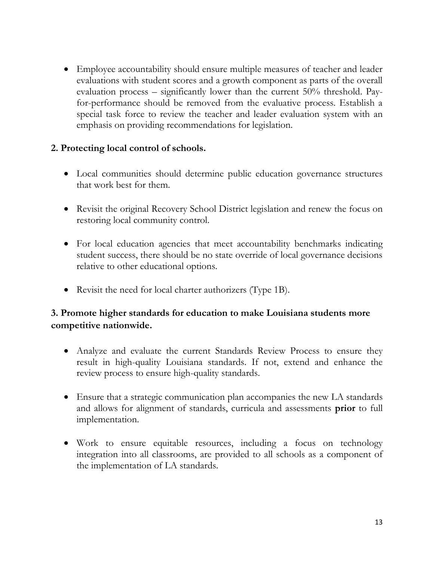Employee accountability should ensure multiple measures of teacher and leader evaluations with student scores and a growth component as parts of the overall evaluation process – significantly lower than the current 50% threshold. Payfor-performance should be removed from the evaluative process. Establish a special task force to review the teacher and leader evaluation system with an emphasis on providing recommendations for legislation.

### **2. Protecting local control of schools.**

- Local communities should determine public education governance structures that work best for them.
- Revisit the original Recovery School District legislation and renew the focus on restoring local community control.
- For local education agencies that meet accountability benchmarks indicating student success, there should be no state override of local governance decisions relative to other educational options.
- Revisit the need for local charter authorizers (Type 1B).

## **3. Promote higher standards for education to make Louisiana students more competitive nationwide.**

- Analyze and evaluate the current Standards Review Process to ensure they result in high-quality Louisiana standards. If not, extend and enhance the review process to ensure high-quality standards.
- Ensure that a strategic communication plan accompanies the new LA standards and allows for alignment of standards, curricula and assessments **prior** to full implementation.
- Work to ensure equitable resources, including a focus on technology integration into all classrooms, are provided to all schools as a component of the implementation of LA standards.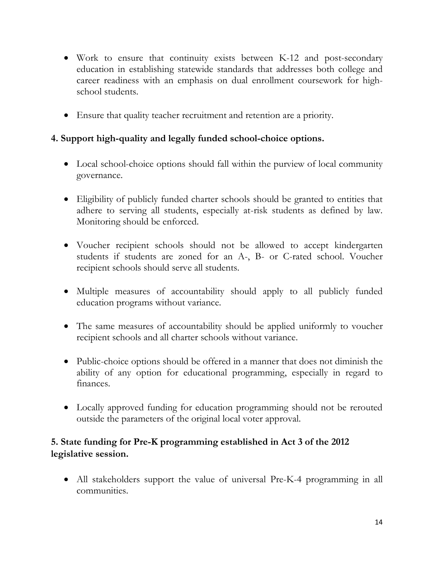- Work to ensure that continuity exists between K-12 and post-secondary education in establishing statewide standards that addresses both college and career readiness with an emphasis on dual enrollment coursework for highschool students.
- Ensure that quality teacher recruitment and retention are a priority.

## **4. Support high-quality and legally funded school-choice options.**

- Local school-choice options should fall within the purview of local community governance.
- Eligibility of publicly funded charter schools should be granted to entities that adhere to serving all students, especially at-risk students as defined by law. Monitoring should be enforced.
- Voucher recipient schools should not be allowed to accept kindergarten students if students are zoned for an A-, B- or C-rated school. Voucher recipient schools should serve all students.
- Multiple measures of accountability should apply to all publicly funded education programs without variance.
- The same measures of accountability should be applied uniformly to voucher recipient schools and all charter schools without variance.
- Public-choice options should be offered in a manner that does not diminish the ability of any option for educational programming, especially in regard to finances.
- Locally approved funding for education programming should not be rerouted outside the parameters of the original local voter approval.

# **5. State funding for Pre-K programming established in Act 3 of the 2012 legislative session.**

 All stakeholders support the value of universal Pre-K-4 programming in all communities.